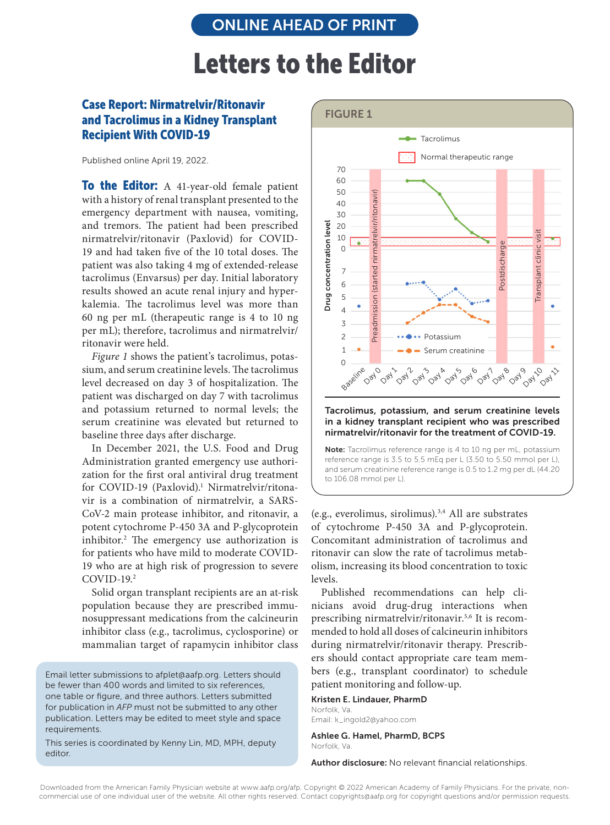## Letters to the Editor

## Case Report: Nirmatrelvir/Ritonavir and Tacrolimus in a Kidney Transplant Recipient With COVID-19

Published online April 19, 2022.

**To the Editor:** A 41-year-old female patient with a history of renal transplant presented to the emergency department with nausea, vomiting, and tremors. The patient had been prescribed nirmatrelvir/ritonavir (Paxlovid) for COVID-19 and had taken five of the 10 total doses. The patient was also taking 4 mg of extended-release tacrolimus (Envarsus) per day. Initial laboratory results showed an acute renal injury and hyperkalemia. The tacrolimus level was more than 60 ng per mL (therapeutic range is 4 to 10 ng per mL); therefore, tacrolimus and nirmatrelvir/ ritonavir were held.

*Figure 1* shows the patient's tacrolimus, potassium, and serum creatinine levels. The tacrolimus level decreased on day 3 of hospitalization. The patient was discharged on day 7 with tacrolimus and potassium returned to normal levels; the serum creatinine was elevated but returned to baseline three days after discharge.

In December 2021, the U.S. Food and Drug Administration granted emergency use authorization for the first oral antiviral drug treatment for COVID-19 (Paxlovid).<sup>1</sup> Nirmatrelvir/ritonavir is a combination of nirmatrelvir, a SARS-CoV-2 main protease inhibitor, and ritonavir, a potent cytochrome P-450 3A and P-glycoprotein inhibitor.2 The emergency use authorization is for patients who have mild to moderate COVID-19 who are at high risk of progression to severe COVID-19. 2

Solid organ transplant recipients are an at-risk population because they are prescribed immunosuppressant medications from the calcineurin inhibitor class (e.g., tacrolimus, cyclosporine) or mammalian target of rapamycin inhibitor class

Email letter submissions to afplet@aafp.org. Letters should be fewer than 400 words and limited to six references, one table or figure, and three authors. Letters submitted for publication in *AFP* must not be submitted to any other publication. Letters may be edited to meet style and space requirements.

This series is coordinated by Kenny Lin, MD, MPH, deputy editor.



Tacrolimus, potassium, and serum creatinine levels in a kidney transplant recipient who was prescribed nirmatrelvir/ritonavir for the treatment of COVID-19.

Note: Tacrolimus reference range is 4 to 10 ng per mL, potassium reference range is 3.5 to 5.5 mEq per L (3.50 to 5.50 mmol per L), and serum creatinine reference range is 0.5 to 1.2 mg per dL (44.20 to 106.08 mmol per L).

(e.g., everolimus, sirolimus).3,4 All are substrates of cytochrome P-450 3A and P-glycoprotein. Concomitant administration of tacrolimus and ritonavir can slow the rate of tacrolimus metabolism, increasing its blood concentration to toxic levels.

Published recommendations can help clinicians avoid drug-drug interactions when prescribing nirmatrelvir/ritonavir.5,6 It is recommended to hold all doses of calcineurin inhibitors during nirmatrelvir/ritonavir therapy. Prescribers should contact appropriate care team members (e.g., transplant coordinator) to schedule patient monitoring and follow-up.

Kristen E. Lindauer, PharmD Norfolk, Va. Email: k\_ingold2@yahoo.com

Ashlee G. Hamel, PharmD, BCPS Norfolk, Va.

Author disclosure: No relevant financial relationships.